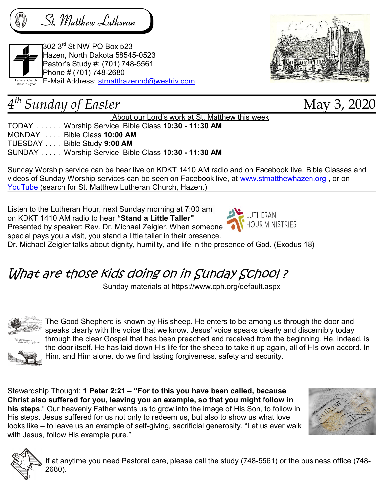St. Matthew Lutheran



302 3rd St NW PO Box 523 Hazen, North Dakota 58545-0523 Pastor's Study #: (701) 748-5561 Phone #:(701) 748-2680 E-Mail Address: stmatthazennd@westriv.com



## 4 th Sunday of Easter May 3, 2020

About our Lord's work at St. Matthew this week

TODAY . . . . . . Worship Service; Bible Class 10:30 - 11:30 AM MONDAY . . . . Bible Class 10:00 AM TUESDAY . . . . Bible Study 9:00 AM SUNDAY . . . . . Worship Service; Bible Class 10:30 - 11:30 AM

Sunday Worship service can be hear live on KDKT 1410 AM radio and on Facebook live. Bible Classes and videos of Sunday Worship services can be seen on Facebook live, at www.stmatthewhazen.org, or on YouTube (search for St. Matthew Lutheran Church, Hazen.)

Listen to the Lutheran Hour, next Sunday morning at 7:00 am on KDKT 1410 AM radio to hear "Stand a Little Taller" Presented by speaker: Rev. Dr. Michael Zeigler. When someone

special pays you a visit, you stand a little taller in their presence.



Dr. Michael Zeigler talks about dignity, humility, and life in the presence of God. (Exodus 18)

## What are those kids doing on in Sunday School ?

Sunday materials at https://www.cph.org/default.aspx



The Good Shepherd is known by His sheep. He enters to be among us through the door and speaks clearly with the voice that we know. Jesus' voice speaks clearly and discernibly today through the clear Gospel that has been preached and received from the beginning. He, indeed, is the door itself. He has laid down His life for the sheep to take it up again, all of HIs own accord. In Him, and Him alone, do we find lasting forgiveness, safety and security.



Stewardship Thought: 1 Peter 2:21 - "For to this you have been called, because Christ also suffered for you, leaving you an example, so that you might follow in his steps." Our heavenly Father wants us to grow into the image of His Son, to follow in His steps. Jesus suffered for us not only to redeem us, but also to show us what love looks like – to leave us an example of self-giving, sacrificial generosity. "Let us ever walk with Jesus, follow His example pure."





If at anytime you need Pastoral care, please call the study (748-5561) or the business office (748- 2680).